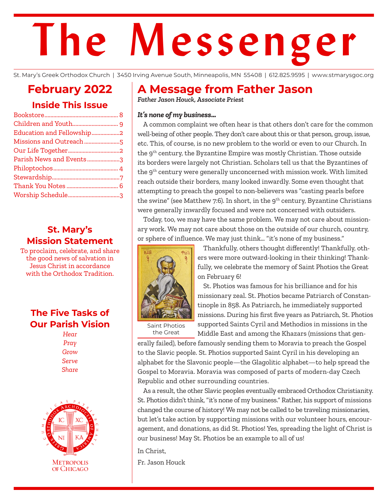# **The Messenger**

St. Mary's Greek Orthodox Church | 3450 Irving Avenue South, Minneapolis, MN 55408 | 612.825.9595 | www.stmarysgoc.org

## **February 2022 Inside This Issue**

| Education and Fellowship2 |  |
|---------------------------|--|
| Missions and Outreach 5   |  |
|                           |  |
| Parish News and Events3   |  |
|                           |  |
|                           |  |
|                           |  |
|                           |  |
|                           |  |

### **St. Mary's Mission Statement**

To proclaim, celebrate, and share the good news of salvation in Jesus Christ in accordance with the Orthodox Tradition.

### **The Five Tasks of Our Parish Vision**

*Hear Pray Grow Serve Share*



# **A Message from Father Jason**

*Father Jason Houck, Associate Priest*

#### *It's none of my business…*

A common complaint we often hear is that others don't care for the common well-being of other people. They don't care about this or that person, group, issue, etc. This, of course, is no new problem to the world or even to our Church. In the 9th century, the Byzantine Empire was mostly Christian. Those outside its borders were largely not Christian. Scholars tell us that the Byzantines of the 9<sup>th</sup> century were generally unconcerned with mission work. With limited reach outside their borders, many looked inwardly. Some even thought that attempting to preach the gospel to non-believers was "casting pearls before the swine" (see Matthew 7:6). In short, in the  $9<sup>th</sup>$  century, Byzantine Christians were generally inwardly focused and were not concerned with outsiders.

Today, too, we may have the same problem. We may not care about missionary work. We may not care about those on the outside of our church, country, or sphere of influence. We may just think… "it's none of my business."



Thankfully, others thought differently! Thankfully, others were more outward-looking in their thinking! Thankfully, we celebrate the memory of Saint Photios the Great on February 6!

St. Photios was famous for his brilliance and for his missionary zeal. St. Photios became Patriarch of Constantinople in 858. As Patriarch, he immediately supported missions. During his first five years as Patriarch, St. Photios supported Saints Cyril and Methodios in missions in the Middle East and among the Khazars (missions that gen-

Saint Photios the Great

erally failed), before famously sending them to Moravia to preach the Gospel to the Slavic people. St. Photios supported Saint Cyril in his developing an alphabet for the Slavonic people—the Glagolitic alphabet—to help spread the Gospel to Moravia. Moravia was composed of parts of modern-day Czech Republic and other surrounding countries.

As a result, the other Slavic peoples eventually embraced Orthodox Christianity. St. Photios didn't think, "it's none of my business." Rather, his support of missions changed the course of history! We may not be called to be traveling missionaries, but let's take action by supporting missions with our volunteer hours, encouragement, and donations, as did St. Photios! Yes, spreading the light of Christ is our business! May St. Photios be an example to all of us!

In Christ,

Fr. Jason Houck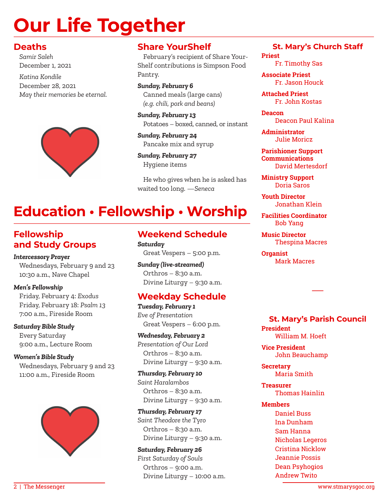# **Our Life Together**

#### **Deaths**

*Samir Saleh* December 1, 2021

*Katina Kondile* December 28, 2021 *May their memories be eternal.*



#### **Share YourShelf**

February's recipient of Share Your-Shelf contributions is Simpson Food Pantry.

*Sunday, February 6* Canned meals (large cans) *(e.g. chili, pork and beans)*

*Sunday, February 13* Potatoes – boxed, canned, or instant

*Sunday, February 24* Pancake mix and syrup

*Sunday, February 27* Hygiene items

He who gives when he is asked has waited too long. —*Seneca* 

# **Education • Fellowship • Worship**

### **Fellowship and Study Groups**

*Intercessory Prayer*

Wednesdays, February 9 and 23 10:30 a.m., Nave Chapel

#### *Men's Fellowship*

Friday, February 4: *Exodus* Friday, February 18: *Psalm 13* 7:00 a.m., Fireside Room

*Saturday Bible Study*

Every Saturday 9:00 a.m., Lecture Room

*Women's Bible Study* Wednesdays, February 9 and 23 11:00 a.m., Fireside Room



#### **Weekend Schedule** *Saturday*

Great Vespers – 5:00 p.m.

*Sunday (live-streamed)* Orthros – 8:30 a.m. Divine Liturgy – 9:30 a.m.

### **Weekday Schedule**

*Tuesday, February 1 Eve of Presentation* Great Vespers – 6:00 p.m.

*Wednesday, February 2 Presentation of Our Lord* Orthros – 8:30 a.m. Divine Liturgy – 9:30 a.m.

*Thursday, February 10 Saint Haralambos* Orthros – 8:30 a.m. Divine Liturgy – 9:30 a.m.

*Thursday, February 17 Saint Theodore the Tyro* Orthros – 8:30 a.m. Divine Liturgy – 9:30 a.m.

*Saturday, February 26 First Saturday of Souls* Orthros – 9:00 a.m. Divine Liturgy – 10:00 a.m.

#### **St. Mary's Church Staff**

**Priest** Fr. Timothy Sas

**Associate Priest** Fr. Jason Houck

**Attached Priest** Fr. John Kostas

**Deacon** Deacon Paul Kalina

**Administrator** Julie Moricz

**Parishioner Support Communications** David Mertesdorf

**Ministry Support** Doria Saros

**Youth Director** Jonathan Klein

**Facilities Coordinator** Bob Yang

**Music Director** Thespina Macres

**Organist** Mark Macres

**St. Mary's Parish Council President** William M. Hoeft

―

**Vice President** John Beauchamp

**Secretary** Maria Smith

**Treasurer** Thomas Hainlin

#### **Members**

Daniel Buss Ina Dunham Sam Hanna Nicholas Legeros Cristina Nicklow Jeannie Possis Dean Psyhogios Andrew Twito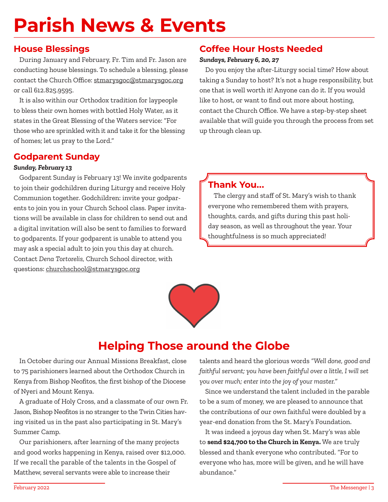# **Parish News & Events**

#### **House Blessings**

During January and February, Fr. Tim and Fr. Jason are conducting house blessings. To schedule a blessing, please contact the Church Office: stmarysgoc@stmarysgoc.org or call 612.825.9595.

It is also within our Orthodox tradition for laypeople to bless their own homes with bottled Holy Water, as it states in the Great Blessing of the Waters service: "For those who are sprinkled with it and take it for the blessing of homes; let us pray to the Lord."

### **Godparent Sunday**

#### *Sunday, February 13*

Godparent Sunday is February 13! We invite godparents to join their godchildren during Liturgy and receive Holy Communion together. Godchildren: invite your godparents to join you in your Church School class. Paper invitations will be available in class for children to send out and a digital invitation will also be sent to families to forward to godparents. If your godparent is unable to attend you may ask a special adult to join you this day at church. Contact *Dena Tortorelis,* Church School director, with questions: churchschool@stmarysgoc.org

#### **Coffee Hour Hosts Needed**

#### *Sundays, February 6, 20, 27*

Do you enjoy the after-Liturgy social time? How about taking a Sunday to host? It's not a huge responsibility, but one that is well worth it! Anyone can do it. If you would like to host, or want to find out more about hosting, contact the Church Office. We have a step-by-step sheet available that will guide you through the process from set up through clean up.

### **Thank You...**

The clergy and staff of St. Mary's wish to thank everyone who remembered them with prayers, thoughts, cards, and gifts during this past holiday season, as well as throughout the year. Your thoughtfulness is so much appreciated!



# **Helping Those around the Globe**

In October during our Annual Missions Breakfast, close to 75 parishioners learned about the Orthodox Church in Kenya from Bishop Neofitos, the first bishop of the Diocese of Nyeri and Mount Kenya.

A graduate of Holy Cross, and a classmate of our own Fr. Jason, Bishop Neofitos is no stranger to the Twin Cities having visited us in the past also participating in St. Mary's Summer Camp.

Our parishioners, after learning of the many projects and good works happening in Kenya, raised over \$12,000. If we recall the parable of the talents in the Gospel of Matthew, several servants were able to increase their

talents and heard the glorious words *"Well done, good and faithful servant; you have been faithful over a little, I will set you over much; enter into the joy of your master."*

Since we understand the talent included in the parable to be a sum of money, we are pleased to announce that the contributions of our own faithful were doubled by a year-end donation from the St. Mary's Foundation.

It was indeed a joyous day when St. Mary's was able to **send \$24,700 to the Church in Kenya.** We are truly blessed and thank everyone who contributed. "For to everyone who has, more will be given, and he will have abundance."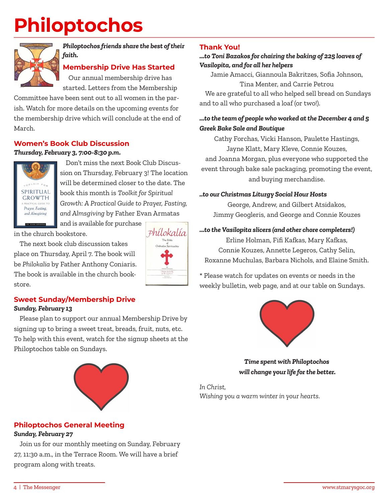# **Philoptochos**



#### *Philoptochos friends share the best of their faith.*

#### **Membership Drive Has Started**

Our annual membership drive has started. Letters from the Membership

Committee have been sent out to all women in the parish. Watch for more details on the upcoming events for the membership drive which will conclude at the end of March.

#### **Women's Book Club Discussion**

#### *Thursday, February 3, 7:00-8:30 p.m.*



Don't miss the next Book Club Discussion on Thursday, February 3! The location will be determined closer to the date. The book this month is *Toolkit for Spiritual Growth: A Practical Guide to Prayer, Fasting, and Almsgiving* by Father Evan Armatas and is available for purchase

in the church bookstore.

The next book club discussion takes place on Thursday, April 7. The book will be *Philokalia* by Father Anthony Coniaris. The book is available in the church bookstore.



# **Sweet Sunday/Membership Drive**

#### *Sunday, February 13*

Please plan to support our annual Membership Drive by signing up to bring a sweet treat, breads, fruit, nuts, etc. To help with this event, watch for the signup sheets at the Philoptochos table on Sundays.



#### **Philoptochos General Meeting** *Sunday, February 27*

Join us for our monthly meeting on Sunday, February 27, 11:30 a.m., in the Terrace Room. We will have a brief program along with treats.

#### **Thank You!**

#### *...to Toni Bazakos for chairing the baking of 225 loaves of Vasilopita, and for all her helpers*

Jamie Amacci, Giannoula Bakritzes, Sofia Johnson,

Tina Menter, and Carrie Petrou

We are grateful to all who helped sell bread on Sundays and to all who purchased a loaf (or two!).

#### *...to the team of people who worked at the December 4 and 5 Greek Bake Sale and Boutique*

Cathy Forchas, Vicki Hanson, Paulette Hastings, Jayne Klatt, Mary Kleve, Connie Kouzes, and Joanna Morgan, plus everyone who supported the event through bake sale packaging, promoting the event, and buying merchandise.

#### *..to our Christmas Liturgy Social Hour Hosts*

George, Andrew, and Gilbert Atsidakos, Jimmy Geogleris, and George and Connie Kouzes

#### *...to the Vasilopita slicers (and other chore completers!)*

Erline Holman, Fifi Kafkas, Mary Kafkas, Connie Kouzes, Annette Legeros, Cathy Selin, Roxanne Muchulas, Barbara Nichols, and Elaine Smith.

\* Please watch for updates on events or needs in the weekly bulletin, web page, and at our table on Sundays.



*Time spent with Philoptochos will change your life for the better.* 

*In Christ, Wishing you a warm winter in your hearts.*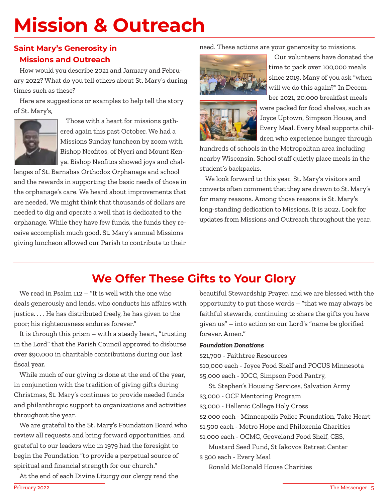# **Mission & Outreach**

#### **Saint Mary's Generosity in Missions and Outreach**

How would you describe 2021 and January and February 2022? What do you tell others about St. Mary's during times such as these?

Here are suggestions or examples to help tell the story of St. Mary's,



Those with a heart for missions gathered again this past October. We had a Missions Sunday luncheon by zoom with Bishop Neofitos, of Nyeri and Mount Kenya. Bishop Neofitos showed joys and chal-

lenges of St. Barnabas Orthodox Orphanage and school and the rewards in supporting the basic needs of those in the orphanage's care. We heard about improvements that are needed. We might think that thousands of dollars are needed to dig and operate a well that is dedicated to the orphanage. While they have few funds, the funds they receive accomplish much good. St. Mary's annual Missions giving luncheon allowed our Parish to contribute to their

#### need. These actions are your generosity to missions.



Our volunteers have donated the time to pack over 100,000 meals since 2019. Many of you ask "when will we do this again?" In December 2021, 20,000 breakfast meals



were packed for food shelves, such as Joyce Uptown, Simpson House, and Every Meal. Every Meal supports children who experience hunger through

hundreds of schools in the Metropolitan area including nearby Wisconsin. School staff quietly place meals in the student's backpacks.

We look forward to this year. St. Mary's visitors and converts often comment that they are drawn to St. Mary's for many reasons. Among those reasons is St. Mary's long-standing dedication to Missions. It is 2022. Look for updates from Missions and Outreach throughout the year.

# **We Offer These Gifts to Your Glory**

We read in Psalm 112 – "It is well with the one who deals generously and lends, who conducts his affairs with justice. . . . He has distributed freely, he has given to the poor; his righteousness endures forever."

It is through this prism – with a steady heart, "trusting in the Lord" that the Parish Council approved to disburse over \$90,000 in charitable contributions during our last fiscal year.

While much of our giving is done at the end of the year, in conjunction with the tradition of giving gifts during Christmas, St. Mary's continues to provide needed funds and philanthropic support to organizations and activities throughout the year.

We are grateful to the St. Mary's Foundation Board who review all requests and bring forward opportunities, and grateful to our leaders who in 1979 had the foresight to begin the Foundation "to provide a perpetual source of spiritual and financial strength for our church."

At the end of each Divine Liturgy our clergy read the

beautiful Stewardship Prayer, and we are blessed with the opportunity to put those words – "that we may always be faithful stewards, continuing to share the gifts you have given us" – into action so our Lord's "name be glorified forever. Amen."

#### *Foundation Donations*

\$21,700 - Faithtree Resources

\$10,000 each - Joyce Food Shelf and FOCUS Minnesota \$5,000 each - IOCC, Simpson Food Pantry,

St. Stephen's Housing Services, Salvation Army

\$3,000 - OCF Mentoring Program

\$3,000 - Hellenic College Holy Cross

\$2,000 each - Minneapolis Police Foundation, Take Heart

\$1,500 each - Metro Hope and Philoxenia Charities

\$1,000 each - OCMC, Groveland Food Shelf, CES,

Mustard Seed Fund, St Iakovos Retreat Center \$ 500 each - Every Meal

Ronald McDonald House Charities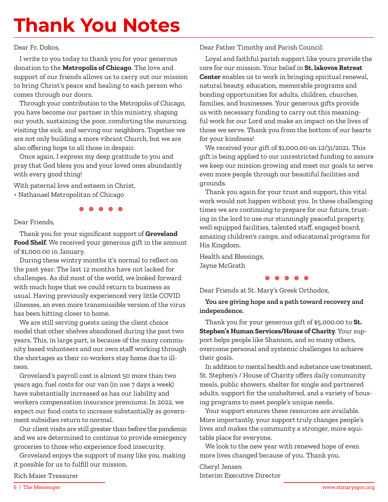# **Thank You Notes**

#### Dear Fr. Dokos,

I write to you today to thank you for your generous donation to the **Metropolis of Chicago**. The love and support of our friends allows us to carry out our mission to bring Christ's peace and healing to each person who comes through our doors.

Through your contribution to the Metropolis of Chicago, you have become our partner in this ministry, shaping our youth, sustaining the poor, comforting the mourning, visiting the sick, and serving our neighbors. Together we are not only building a more vibrant Church, but we are also offering hope to all those in despair.

Once again, I express my deep gratitude to you and pray that God bless you and your loved ones abundantly with every good thing!

With paternal love and esteem in Christ, + Nathanael Metropolitan of Chicago

#### Dear Friends,

Thank you for your significant support of **Groveland Food Shelf**. We received your generous gift in the amount of \$1,000.00 in January.

During these wintry months it's normal to reflect on the past year. The last 12 months have not lacked for challenges. As did most of the world, we looked forward with much hope that we could return to business as usual. Having previously experienced very little COVID illnesses, an even more transmissible version of the virus has been hitting closer to home.

We are still serving guests using the client choice model that other shelves abandoned during the past two years. This, in large part, is because of the many community based volunteers and our own staff working through the shortages as their co-workers stay home due to illness.

Groveland's payroll cost is almost 50 more than two years ago, fuel costs for our van (in use 7 days a week) have substantially increased as has our liability and workers compensation insurance premiums. In 2022, we expect our food costs to increase substantially as government subsidies return to normal.

Our client visits are still greater than before the pandemic and we are determined to continue to provide emergency groceries to those who experience food insecurity.

Groveland enjoys the support of many like you, making it possible for us to fulfill our mission.

Rich Maier Treasurer

Dear Father Timothy and Parish Council:

Loyal and faithful parish support like yours provide the core for our mission. Your belief in **St. lakovos Retreat Center** enables us to work in bringing spiritual renewal, natural beauty, education, memorable programs and bonding opportunities for adults, children, churches, families, and businesses. Your generous gifts provide us with necessary funding to carry out this meaningful work for our Lord and make an impact on the lives of those we serve. Thank you from the bottom of our hearts for your kindness!

We received your gift of \$1,000.00 on 12/31/2021. This gift is being applied to our unrestricted funding to assure we keep our mission growing and meet our goals to serve even more people through our beautiful facilities and grounds.

Thank you again for your trust and support, this vital work would not happen without you. In these challenging times we are continuing to prepare for our future, trusting in the lord to use our stunningly peaceful property, well equipped facilities, talented staff, engaged board, amazing children's camps, and educational programs for His Kingdom.

Health and Blessings, Jayne McGrath

Dear Friends at St. Mary's Greek Orthodox,

**You are giving hope and a path toward recovery and independence.** 

Thank you for your generous gift of \$5,000.00 to **St. Stephen's Human Services/House of Charity**. Your support helps people like Shannon, and so many others, overcome personal and systemic challenges to achieve their goals.

In addition to mental health and substance use treatment, St. Stephen's / House of Charity offers daily community meals, public showers, shelter for single and partnered adults, support for the unsheltered, and a variety of housing programs to meet people's unique needs.

Your support ensures these resources are available. More importantly, your support truly changes people's lives and makes the community a stronger, more equitable place for everyone.

We look to the new year with renewed hope of even more lives changed because of you. Thank you.

Cheryl Jensen Interim Executive Director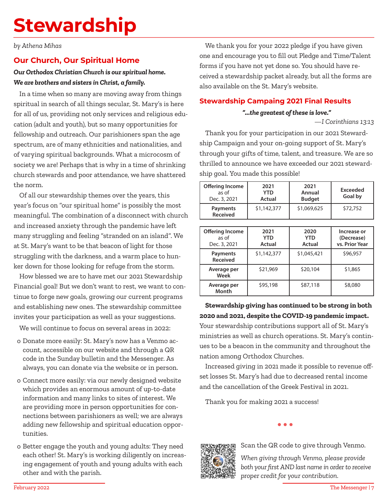# **Stewardship**

*by Athena Mihas*

#### **Our Church, Our Spiritual Home**

#### *Our Orthodox Christian Church is our spiritual home. We are brothers and sisters in Christ, a family.*

In a time when so many are moving away from things spiritual in search of all things secular, St. Mary's is here for all of us, providing not only services and religious education (adult and youth), but so many opportunities for fellowship and outreach. Our parishioners span the age spectrum, are of many ethnicities and nationalities, and of varying spiritual backgrounds. What a microcosm of society we are! Perhaps that is why in a time of shrinking church stewards and poor attendance, we have shattered the norm.

Of all our stewardship themes over the years, this year's focus on "our spiritual home" is possibly the most meaningful. The combination of a disconnect with church and increased anxiety through the pandemic have left many struggling and feeling "stranded on an island". We at St. Mary's want to be that beacon of light for those struggling with the darkness, and a warm place to hunker down for those looking for refuge from the storm.

How blessed we are to have met our 2021 Stewardship Financial goal! But we don't want to rest, we want to continue to forge new goals, growing our current programs and establishing new ones. The stewardship committee invites your participation as well as your suggestions.

We will continue to focus on several areas in 2022:

- o Donate more easily: St. Mary's now has a Venmo account, accessible on our website and through a QR code in the Sunday bulletin and the Messenger. As always, you can donate via the website or in person.
- o Connect more easily: via our newly designed website which provides an enormous amount of up-to-date information and many links to sites of interest. We are providing more in person opportunities for connections between parishioners as well; we are always adding new fellowship and spiritual education opportunities.
- o Better engage the youth and young adults: They need each other! St. Mary's is working diligently on increasing engagement of youth and young adults with each other and with the parish.

We thank you for your 2022 pledge if you have given one and encourage you to fill out Pledge and Time/Talent forms if you have not yet done so. You should have received a stewardship packet already, but all the forms are also available on the St. Mary's website.

#### **Stewardship Campaing 2021 Final Results**

#### *"...the greatest of these is love."*

—*I Corinthians 13:13*

Thank you for your participation in our 2021 Stewardship Campaign and your on-going support of St. Mary's through your gifts of time, talent, and treasure. We are so thrilled to announce we have exceeded our 2021 stewardship goal. You made this possible!

| <b>Offering Income</b><br>as of<br>Dec. 3, 2021 | 2021<br>YTD<br>Actual | 2021<br>Annual<br><b>Budget</b> | Exceeded<br>Goal by |
|-------------------------------------------------|-----------------------|---------------------------------|---------------------|
| Payments<br><b>Received</b>                     | \$1,142,377           | \$1,069,625                     | \$72,752            |

| <b>Offering Income</b><br>as of<br>Dec. 3, 2021 | 2021<br><b>YTD</b><br>Actual | 2020<br><b>YTD</b><br>Actual | Increase or<br>(Decrease)<br>vs. Prior Year |  |
|-------------------------------------------------|------------------------------|------------------------------|---------------------------------------------|--|
| <b>Payments</b><br><b>Received</b>              | \$1,142,377                  |                              | \$96,957                                    |  |
| \$21,969<br>Average per<br>Week                 |                              | \$20,104                     | \$1,865                                     |  |
| Average per<br>Month                            | \$95,198                     | \$87,118                     | \$8,080                                     |  |

### **Stewardship giving has continued to be strong in both 2020 and 2021, despite the COVID-19 pandemic impact.**

Your stewardship contributions support all of St. Mary's ministries as well as church operations. St. Mary's continues to be a beacon in the community and throughout the nation among Orthodox Churches.

Increased giving in 2021 made it possible to revenue offset losses St. Mary's had due to decreased rental income and the cancellation of the Greek Festival in 2021.

Thank you for making 2021 a success!

 $\bullet$   $\bullet$   $\bullet$ 



Scan the QR code to give through Venmo.

*When giving through Venmo, please provide both your first AND last name in order to receive proper credit for your contribution.*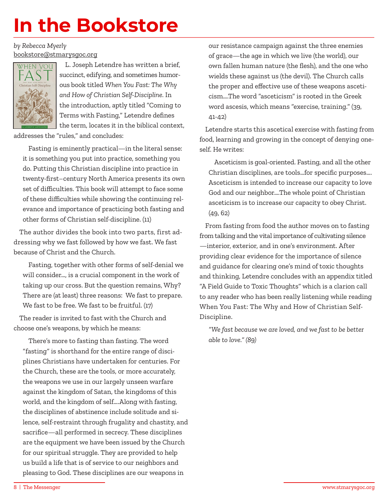# **In the Bookstore**

*by Rebecca Myerly*  bookstore@stmarysgoc.org



L. Joseph Letendre has written a brief, succinct, edifying, and sometimes humorous book titled *When You Fast: The Why and How of Christian Self-Discipline.* In the introduction, aptly titled "Coming to Terms with Fasting," Letendre defines the term, locates it in the biblical context,

addresses the "rules," and concludes:

Fasting is eminently practical—in the literal sense: it is something you put into practice, something you do. Putting this Christian discipline into practice in twenty-first–century North America presents its own set of difficulties. This book will attempt to face some of these difficulties while showing the continuing relevance and importance of practicing both fasting and other forms of Christian self-discipline. (11)

The author divides the book into two parts, first addressing why we fast followed by how we fast. We fast because of Christ and the Church.

Fasting, together with other forms of self-denial we will consider…, is a crucial component in the work of taking up our cross. But the question remains, Why? There are (at least) three reasons: We fast to prepare. We fast to be free. We fast to be fruitful. (17)

The reader is invited to fast with the Church and choose one's weapons, by which he means:

There's more to fasting than fasting. The word "fasting" is shorthand for the entire range of disciplines Christians have undertaken for centuries. For the Church, these are the tools, or more accurately, the weapons we use in our largely unseen warfare against the kingdom of Satan, the kingdoms of this world, and the kingdom of self….Along with fasting, the disciplines of abstinence include solitude and silence, self-restraint through frugality and chastity, and sacrifice—all performed in secrecy. These disciplines are the equipment we have been issued by the Church for our spiritual struggle. They are provided to help us build a life that is of service to our neighbors and pleasing to God. These disciplines are our weapons in

our resistance campaign against the three enemies of grace—the age in which we live (the world), our own fallen human nature (the flesh), and the one who wields these against us (the devil). The Church calls the proper and effective use of these weapons asceticism….The word "asceticism" is rooted in the Greek word ascesis, which means "exercise, training." (39, 41-42)

Letendre starts this ascetical exercise with fasting from food, learning and growing in the concept of denying oneself. He writes:

Asceticism is goal-oriented. Fasting, and all the other Christian disciplines, are tools…for specific purposes…. Asceticism is intended to increase our capacity to love God and our neighbor….The whole point of Christian asceticism is to increase our capacity to obey Christ. (49, 62)

From fasting from food the author moves on to fasting from talking and the vital importance of cultivating silence —interior, exterior, and in one's environment. After providing clear evidence for the importance of silence and guidance for clearing one's mind of toxic thoughts and thinking, Letendre concludes with an appendix titled "A Field Guide to Toxic Thoughts" which is a clarion call to any reader who has been really listening while reading When You Fast: The Why and How of Christian Self-Discipline.

*"We fast because we are loved, and we fast to be better able to love." (89)*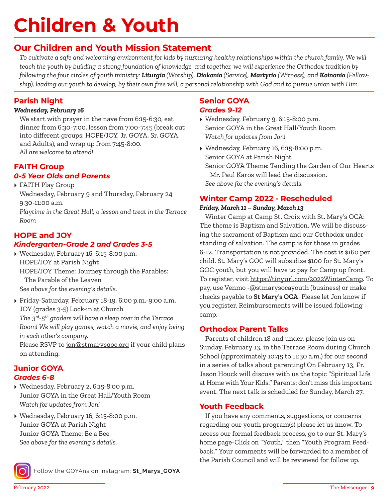# **Children & Youth**

### **Our Children and Youth Mission Statement**

*To cultivate a safe and welcoming environment for kids by nurturing healthy relationships within the church family. We will teach the youth by building a strong foundation of knowledge, and together, we will experience the Orthodox tradition by following the four circles of youth ministry: Liturgia (Worship), Diakonia (Service), Martyria (Witness), and Koinonia (Fellowship), leading our youth to develop, by their own free will, a personal relationship with God and to pursue union with Him.*

#### **Parish Night**

#### *Wednesday, February 16*

We start with prayer in the nave from 6:15-6:30, eat dinner from 6:30-7:00, lesson from 7:00-7:45 (break out into different groups: HOPE/JOY, Jr. GOYA, Sr. GOYA, and Adults), and wrap up from 7:45-8:00. *All are welcome to attend!* 

#### **FAITH Group** *0-5 Year Olds and Parents*

▸ FAITH Play Group

Wednesday, February 9 and Thursday, February 24 9:30-11:00 a.m.

*Playtime in the Great Hall; a lesson and treat in the Terrace Room*

#### **HOPE and JOY** *Kindergarten-Grade 2 and Grades 3-5*

- ▸ Wednesday, February 16, 6:15-8:00 p.m. HOPE/JOY at Parish Night HOPE/JOY Theme: Journey through the Parables: The Parable of the Leaven *See above for the evening's details.*
- ▸ Friday-Saturday, February 18-19, 6:00 p.m.-9:00 a.m. JOY (grades 3-5) Lock-in at Church *The 3rd-5th graders will have a sleep over in the Terrace Room! We will play games, watch a movie, and enjoy being in each other's company.*

Please RSVP to jon@stmarysgoc.org if your child plans on attending.

#### **Junior GOYA** *Grades 6-8*

- ▸ Wednesday, February 2, 6:15-8:00 p.m. Junior GOYA in the Great Hall/Youth Room *Watch for updates from Jon!*
- ▸ Wednesday, February 16, 6:15-8:00 p.m. Junior GOYA at Parish Night Junior GOYA Theme: Be a Bee *See above for the evening's details.*



Follow the GOYAns on Instagram: **St\_Marys\_GOYA**

#### **Senior GOYA** *Grades 9-12*

- ▸ Wednesday, February 9, 6:15-8:00 p.m. Senior GOYA in the Great Hall/Youth Room *Watch for updates from Jon!*
- ▸ Wednesday, February 16, 6:15-8:00 p.m. Senior GOYA at Parish Night Senior GOYA Theme: Tending the Garden of Our Hearts Mr. Paul Karos will lead the discussion. *See above for the evening's details.*

#### **Winter Camp 2022 - Rescheduled**

#### *Friday, March 11 – Sunday, March 13*

Winter Camp at Camp St. Croix with St. Mary's OCA: The theme is Baptism and Salvation. We will be discussing the sacrament of Baptism and our Orthodox understanding of salvation. The camp is for those in grades 6-12. Transportation is not provided. The cost is \$160 per child. St. Mary's GOC will subsidize \$100 for St. Mary's GOC youth, but you will have to pay for Camp up front. To register, visit https://tinyurl.com/2022WinterCamp. To pay, use Venmo -@stmarysocayouth (business) or make checks payable to **St Mary's OCA**. Please let Jon know if you register. Reimbursements will be issued following camp.

#### **Orthodox Parent Talks**

Parents of children 18 and under, please join us on Sunday, February 13, in the Terrace Room during Church School (approximately 10:45 to 11:30 a.m.) for our second in a series of talks about parenting! On February 13, Fr. Jason Houck will discuss with us the topic "Spiritual Life at Home with Your Kids." Parents: don't miss this important event. The next talk is scheduled for Sunday, March 27.

#### **Youth Feedback**

If you have any comments, suggestions, or concerns regarding our youth program(s) please let us know. To access our formal feedback process, go to our St. Mary's home page-Click on "Youth," then "Youth Program Feedback." Your comments will be forwarded to a member of the Parish Council and will be reviewed for follow up.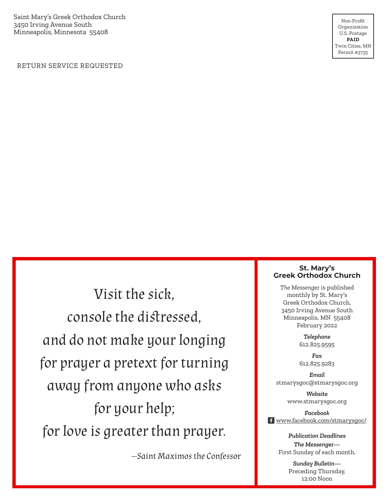Saint Mary's Greek Orthodox Church 3450 Irving Avenue South Minneapolis, Minnesota 55408

Non-Profit Organization U.S. Postage **PAID** Twin Cities, MN Permit #3735

RETURN SERVICE REQUESTED

Visit the sick, console the distressed, and do not make your longing for prayer a pretext for turning away from anyone who asks for your help; for love is greater than prayer.

—Saint Maximos the Confessor

#### **St. Mary's Greek Orthodox Church**

*The Messenger* is published monthly by St. Mary's Greek Orthodox Church, 3450 Irving Avenue South Minneapolis, MN 55408 February 2022

> *Telephone* 612.825.9595

> *Fax* 612.825.9283

*Email* stmarysgoc@stmarysgoc.org

> *Website* www.stmarysgoc.org

*Facebook* f www.facebook.com/stmarysgoc/

*Publication Deadlines*

*The Messenger—* First Sunday of each month.

> *Sunday Bulletin—* Preceding Thursday, 12:00 Noon